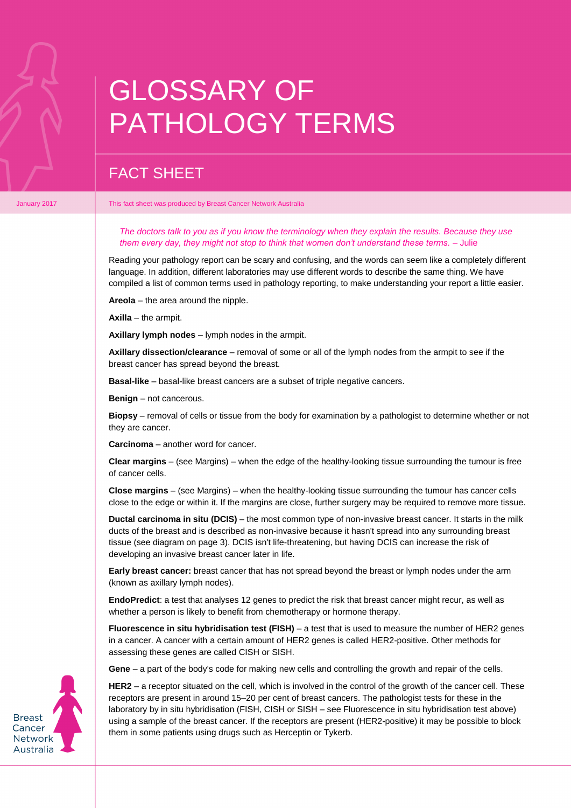## GLOSSARY OF PATHOLOGY TERMS

## FACT SHEET

January 2017 **This fact sheet was produced by Breast Cancer Network Australia** 

*The doctors talk to you as if you know the terminology when they explain the results. Because they use them every day, they might not stop to think that women don't understand these terms. –* Julie

Reading your pathology report can be scary and confusing, and the words can seem like a completely different language. In addition, different laboratories may use different words to describe the same thing. We have compiled a list of common terms used in pathology reporting, to make understanding your report a little easier.

**Areola** – the area around the nipple.

**Axilla** – the armpit.

**Axillary lymph nodes** – lymph nodes in the armpit.

**Axillary dissection/clearance** – removal of some or all of the lymph nodes from the armpit to see if the breast cancer has spread beyond the breast.

**Basal-like** – basal-like breast cancers are a subset of triple negative cancers.

**Benign** – not cancerous.

**Biopsy** – removal of cells or tissue from the body for examination by a pathologist to determine whether or not they are cancer.

**Carcinoma** – another word for cancer.

**Clear margins** – (see Margins) – when the edge of the healthy-looking tissue surrounding the tumour is free of cancer cells.

**Close margins** – (see Margins) – when the healthy-looking tissue surrounding the tumour has cancer cells close to the edge or within it. If the margins are close, further surgery may be required to remove more tissue.

**Ductal carcinoma in situ (DCIS)** – the most common type of non-invasive breast cancer. It starts in the milk ducts of the breast and is described as non-invasive because it hasn't spread into any surrounding breast tissue (see diagram on page 3). DCIS isn't life-threatening, but having DCIS can increase the risk of developing an invasive breast cancer later in life.

**Early breast cancer:** breast cancer that has not spread beyond the breast or lymph nodes under the arm (known as axillary lymph nodes).

**EndoPredict**: a test that analyses 12 genes to predict the risk that breast cancer might recur, as well as whether a person is likely to benefit from chemotherapy or hormone therapy.

**Fluorescence in situ hybridisation test (FISH)** – a test that is used to measure the number of HER2 genes in a cancer. A cancer with a certain amount of HER2 genes is called HER2-positive. Other methods for assessing these genes are called CISH or SISH.

**Gene** – a part of the body's code for making new cells and controlling the growth and repair of the cells.

**HER2** – a receptor situated on the cell, which is involved in the control of the growth of the cancer cell. These receptors are present in around 15–20 per cent of breast cancers. The pathologist tests for these in the laboratory by in situ hybridisation (FISH, CISH or SISH – see Fluorescence in situ hybridisation test above) using a sample of the breast cancer. If the receptors are present (HER2-positive) it may be possible to block them in some patients using drugs such as Herceptin or Tykerb.

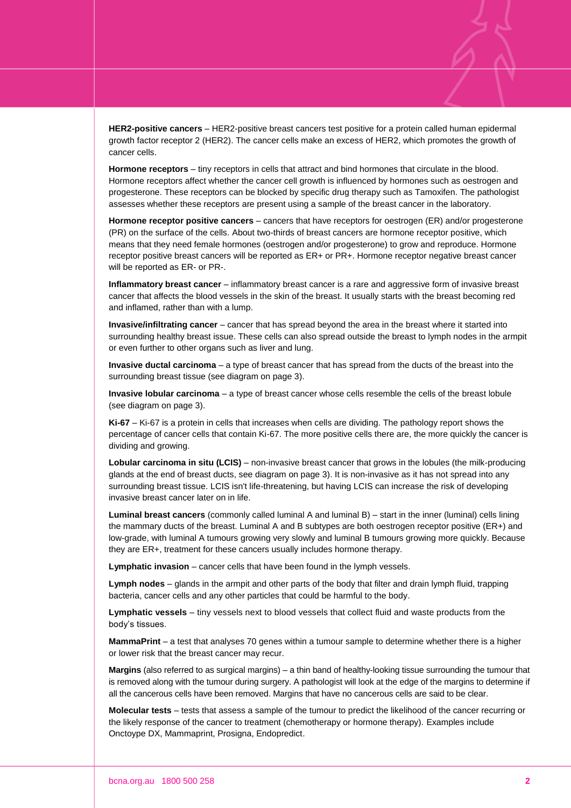**HER2-positive cancers** – HER2-positive breast cancers test positive for a protein called human epidermal growth factor receptor 2 (HER2). The cancer cells make an excess of HER2, which promotes the growth of cancer cells.

**Hormone receptors** – tiny receptors in cells that attract and bind hormones that circulate in the blood. Hormone receptors affect whether the cancer cell growth is influenced by hormones such as oestrogen and progesterone. These receptors can be blocked by specific drug therapy such as Tamoxifen. The pathologist assesses whether these receptors are present using a sample of the breast cancer in the laboratory.

**Hormone receptor positive cancers** – cancers that have receptors for oestrogen (ER) and/or progesterone (PR) on the surface of the cells. About two-thirds of breast cancers are hormone receptor positive, which means that they need female hormones (oestrogen and/or progesterone) to grow and reproduce. Hormone receptor positive breast cancers will be reported as ER+ or PR+. Hormone receptor negative breast cancer will be reported as ER- or PR-.

**Inflammatory breast cancer** – inflammatory breast cancer is a rare and aggressive form of invasive breast cancer that affects the blood vessels in the skin of the breast. It usually starts with the breast becoming red and inflamed, rather than with a lump.

**Invasive/infiltrating cancer** – cancer that has spread beyond the area in the breast where it started into surrounding healthy breast issue. These cells can also spread outside the breast to lymph nodes in the armpit or even further to other organs such as liver and lung.

**Invasive ductal carcinoma** – a type of breast cancer that has spread from the ducts of the breast into the surrounding breast tissue (see diagram on page 3).

**Invasive lobular carcinoma** – a type of breast cancer whose cells resemble the cells of the breast lobule (see diagram on page 3).

**Ki-67** – Ki-67 is a protein in cells that increases when cells are dividing. The pathology report shows the percentage of cancer cells that contain Ki-67. The more positive cells there are, the more quickly the cancer is dividing and growing.

**Lobular carcinoma in situ (LCIS)** – non-invasive breast cancer that grows in the lobules (the milk-producing glands at the end of breast ducts, see diagram on page 3). It is non-invasive as it has not spread into any surrounding breast tissue. LCIS isn't life-threatening, but having LCIS can increase the risk of developing invasive breast cancer later on in life.

**Luminal breast cancers** (commonly called luminal A and luminal B) – start in the inner (luminal) cells lining the mammary ducts of the breast. Luminal A and B subtypes are both oestrogen receptor positive (ER+) and low-grade, with luminal A tumours growing very slowly and luminal B tumours growing more quickly. Because they are ER+, treatment for these cancers usually includes hormone therapy.

**Lymphatic invasion** – cancer cells that have been found in the lymph vessels.

**Lymph nodes** – glands in the armpit and other parts of the body that filter and drain lymph fluid, trapping bacteria, cancer cells and any other particles that could be harmful to the body.

**Lymphatic vessels** – tiny vessels next to blood vessels that collect fluid and waste products from the body's tissues.

**MammaPrint** – a test that analyses 70 genes within a tumour sample to determine whether there is a higher or lower risk that the breast cancer may recur.

**Margins** (also referred to as surgical margins) – a thin band of healthy-looking tissue surrounding the tumour that is removed along with the tumour during surgery. A pathologist will look at the edge of the margins to determine if all the cancerous cells have been removed. Margins that have no cancerous cells are said to be clear.

**Molecular tests** – tests that assess a sample of the tumour to predict the likelihood of the cancer recurring or the likely response of the cancer to treatment (chemotherapy or hormone therapy). Examples include Onctoype DX, Mammaprint, Prosigna, Endopredict.